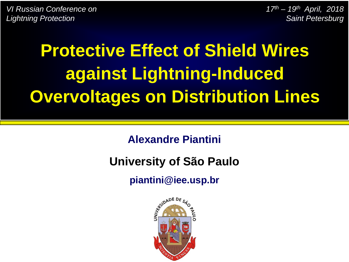*VI Russian Conference on Lightning Protection*

*17th – 19th April, 2018 Saint Petersburg*

# **Protective Effect of Shield Wires against Lightning-Induced Overvoltages on Distribution Lines**

**Alexandre Piantini**

#### **University of São Paulo**

**piantini@iee.usp.br**

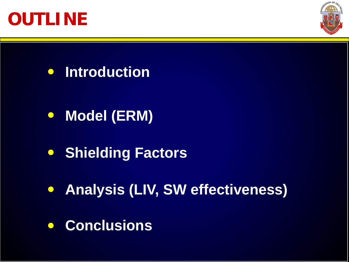



**Introduction**  $\bullet$ 

- $\bullet$ **Model (ERM)**
- **Shielding Factors**
- **Analysis (LIV, SW effectiveness)**
- **Conclusions** $\bullet$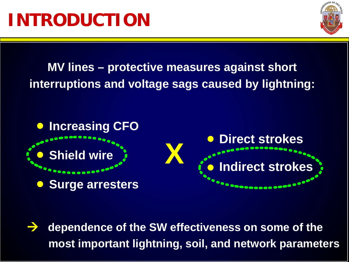

**MV lines – protective measures against short interruptions and voltage sags caused by lightning:**



 **dependence of the SW effectiveness on some of the most important lightning, soil, and network parameters**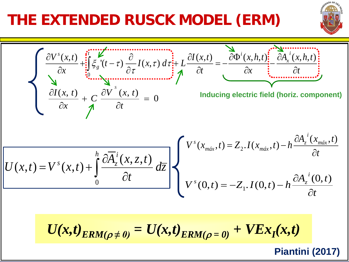#### **THE EXTENDED RUSCK MODEL (ERM)**



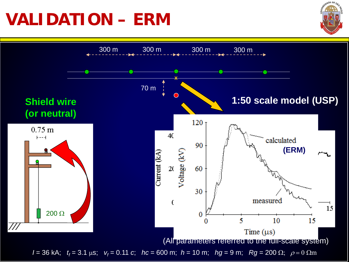## **VALIDATION – ERM**



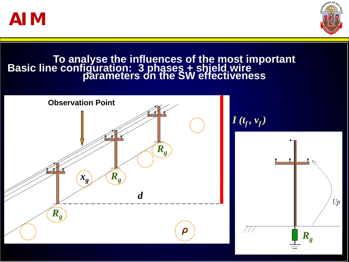



#### **To analyse the influences of the most important parameters on the SW effectiveness Basic line configuration: 3 phases + shield wire**



 $I(t_f, v_f)$ 

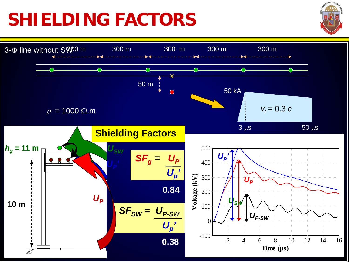# **SHIELDING FACTORS**



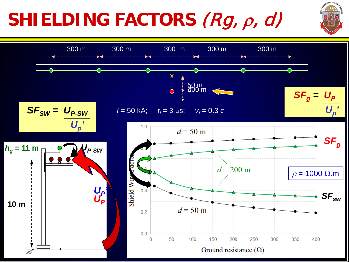# **SHIELDING FACTORS** (Rg, <sup>ρ</sup>, d)



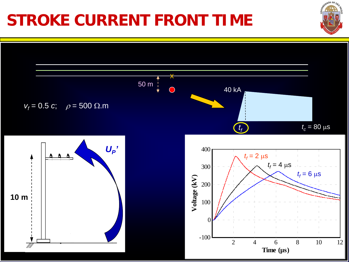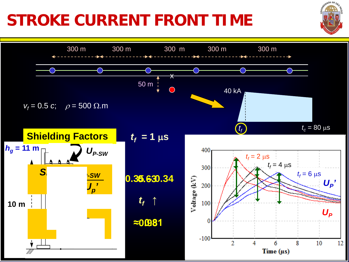### **STROKE CURRENT FRONT TIME**

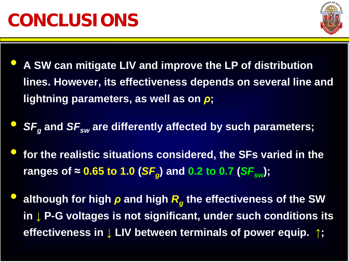

- **A SW can mitigate LIV and improve the LP of distribution lines. However, its effectiveness depends on several line and lightning parameters, as well as on** *ρ***;**
- **SF<sub>a</sub>** and SF<sub>sw</sub> are differently affected by such parameters;
- **for the realistic situations considered, the SFs varied in the ranges of ≈ 0.65 to 1.0 (SF<sub>a</sub>) and 0.2 to 0.7 (SF<sub>sw</sub>);**
- **although for high** *<sup>ρ</sup>* **and high** *Rg* **the effectiveness of the SW in ↓ P-G voltages is not significant, under such conditions its effectiveness in ↓ LIV between terminals of power equip. ↑;**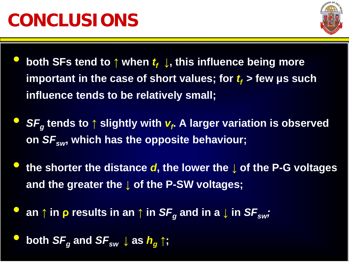

- **both SFs tend to ↑** when  $t_f$ , this influence being more **important in the case of short values; for**  $t_f$  **> few µs such influence tends to be relatively small;**
- *SFg* **tends to <sup>↑</sup> slightly with** *vf* **. A larger variation is observed on** *SFsw***, which has the opposite behaviour;**
- **the shorter the distance** *d***, the lower the <sup>↓</sup> of the P-G voltages and the greater the ↓ of the P-SW voltages;**
- an  $\uparrow$  in  $\rho$  results in an  $\uparrow$  in  $SF_{\alpha}$  and in a  $\downarrow$  in  $SF_{\alpha w}$ ;
- **both**  $SF_{g}$  **and**  $SF_{sw}$  $\downarrow$  **as**  $h_{g} \uparrow$ **;**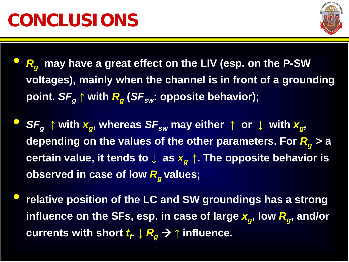

- *Rg* **may have a great effect on the LIV (esp. on the P-SW voltages), mainly when the channel is in front of a grounding point.**  $SF_{q} \uparrow$  with  $R_{q}$  ( $SF_{sw}$ : opposite behavior);
- $S\mathbf{F}_{q}$   $\uparrow$  with  $\mathbf{x}_{q}$ , whereas  $S\mathbf{F}_{sw}$  may either  $\uparrow$  or  $\downarrow$  with  $\mathbf{x}_{q}$ , **depending on the values of the other parameters. For** *Rg* **> a certain value, it tends to**  $\downarrow$  **as**  $x_a \uparrow$ **. The opposite behavior is observed in case of low**  $R_{q}$  **values;**
- **relative position of the LC and SW groundings has a strong**  influence on the SFs, esp. in case of large  $x_q$ , low  $R_q$ , and/or  $\textbf{currents}$  with short  $\textbf{\textit{t}}_{\textit{f}} \downarrow \textbf{\textit{R}}_{\textit{g}} \rightarrow \Uparrow$  influence.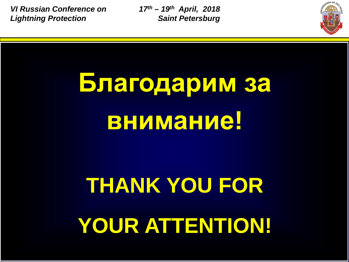*VI Russian Conference on Lightning Protection*

*17th – 19th April, 2018 Saint Petersburg*



# **Благодарим за внимание!**

# **THANK YOU FOR YOUR ATTENTION!**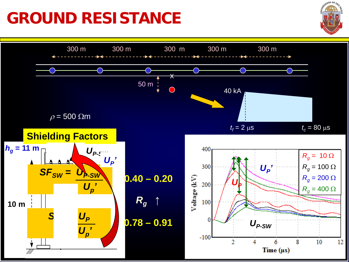#### **GROUND RESISTANCE**

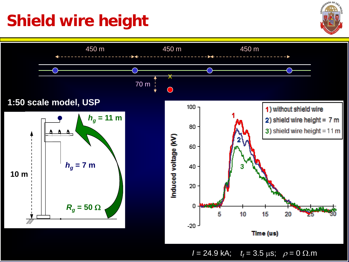#### **Shield wire height**



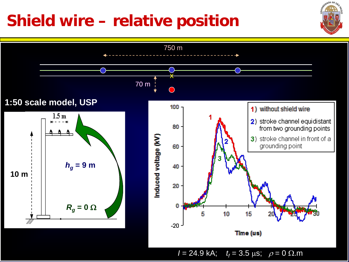#### **Shield wire – relative position**